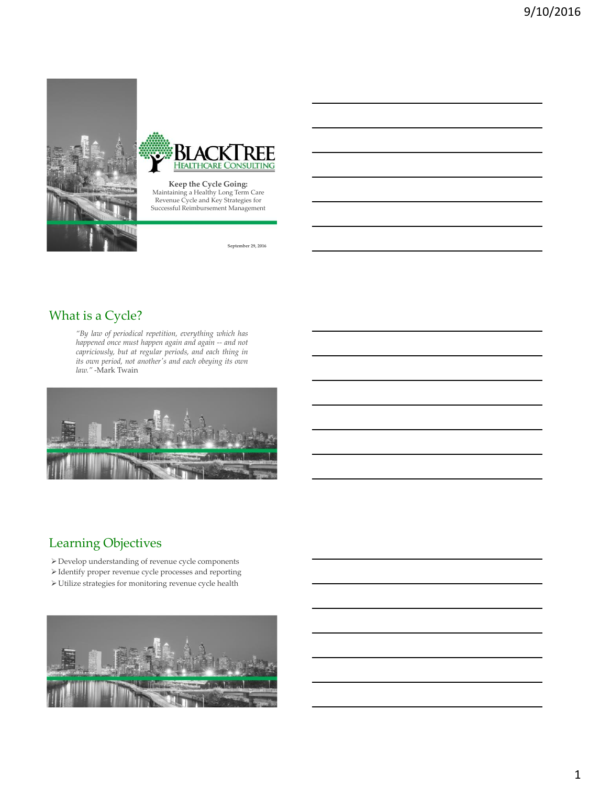



**Keep the Cycle Going:**  Maintaining a Healthy Long Term Care Revenue Cycle and Key Strategies for Successful Reimbursement Management

**September 29, 2016**

# What is a Cycle?

*"By law of periodical repetition, everything which has happened once must happen again and again -- and not capriciously, but at regular periods, and each thing in its own period, not another's and each obeying its own law."* -Mark Twain



## Learning Objectives

- Develop understanding of revenue cycle components
- Identify proper revenue cycle processes and reporting
- $\blacktriangleright$  Utilize strategies for monitoring revenue cycle health

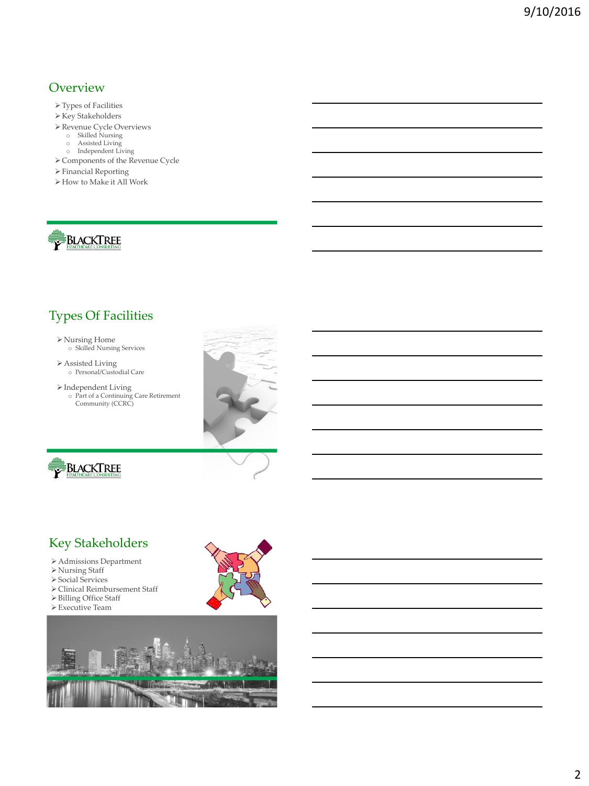### **Overview**

- Types of Facilities
- $\blacktriangleright$  Key Stakeholders
- Revenue Cycle Overviews o Skilled Nursing
	-
	-
	- o Assisted Living o Independent Living
- $\blacktriangleright$  Components of the Revenue Cycle
- $\blacktriangleright$  Financial Reporting
- How to Make it All Work



# Types Of Facilities

# Nursing Home o Skilled Nursing Services

Assisted Living o Personal/Custodial Care

 $\triangleright$  Independent Living

o Part of a Continuing Care Retirement Community (CCRC)





## Key Stakeholders

- Admissions Department
- Nursing Staff
- Social Services
- Clinical Reimbursement Staff
- Billing Office Staff
- Executive Team



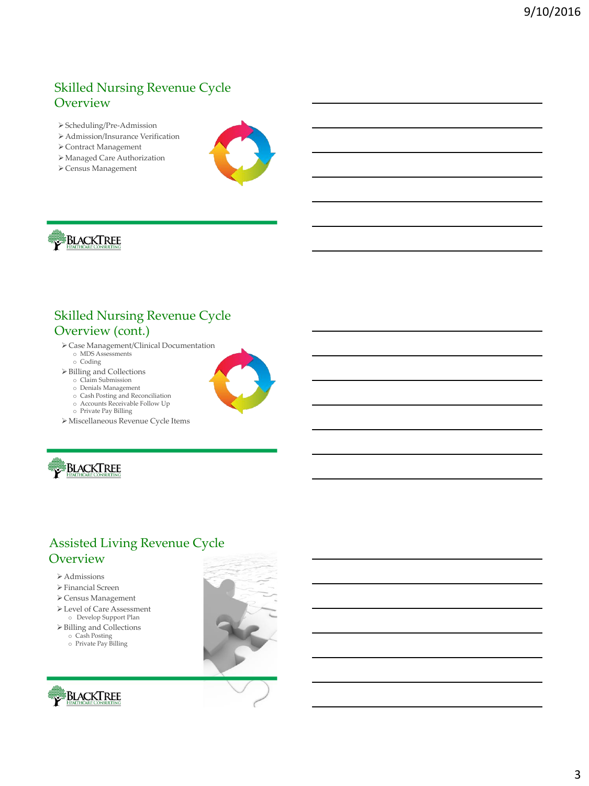# Skilled Nursing Revenue Cycle **Overview**

- Scheduling/Pre-Admission
- Admission/Insurance Verification
- Contract Management
- Managed Care Authorization
- $\blacktriangleright$  Census Management





# Skilled Nursing Revenue Cycle Overview (cont.)

- Case Management/Clinical Documentation o MDS Assessments
	- o Coding
- Billing and Collections
	- o Claim Submission
	- o Denials Management
	- o Cash Posting and Reconciliation o Accounts Receivable Follow Up
	-
	- o Private Pay Billing
- Miscellaneous Revenue Cycle Items



# Assisted Living Revenue Cycle **Overview**

- Admissions
- Financial Screen
- Census Management
- Level of Care Assessment
- o Develop Support Plan Billing and Collections
- o Cash Posting
- o Private Pay Billing



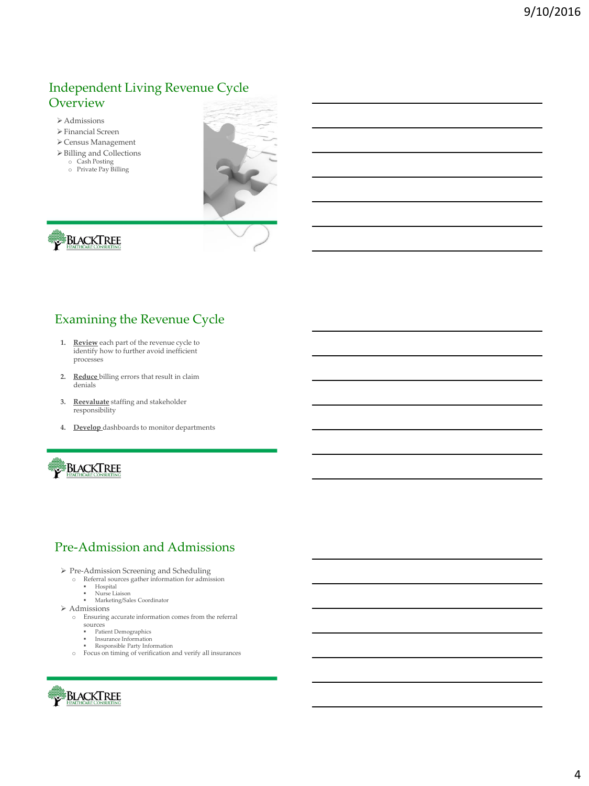# Independent Living Revenue Cycle **Overview**

- Admissions
- Financial Screen
- Census Management
- $\blacktriangleright$  Billing and Collections
	- o Cash Posting o Private Pay Billing
	-





# Examining the Revenue Cycle

- **1. Review** each part of the revenue cycle to identify how to further avoid inefficient processes
- **2. Reduce** billing errors that result in claim denials
- **3. Reevaluate** staffing and stakeholder responsibility
- **4. Develop** dashboards to monitor departments



## Pre-Admission and Admissions

- 
- Pre-Admission Screening and Scheduling o Referral sources gather information for admission
	- Hospital Nurse Liaison
		- Marketing/Sales Coordinator
- $\triangleright$  Admissions
	- o Ensuring accurate information comes from the referral
	- sources
		- Patient Demographics
		- **Insurance Information**
		-
	- Responsible Party Information o Focus on timing of verification and verify all insurances

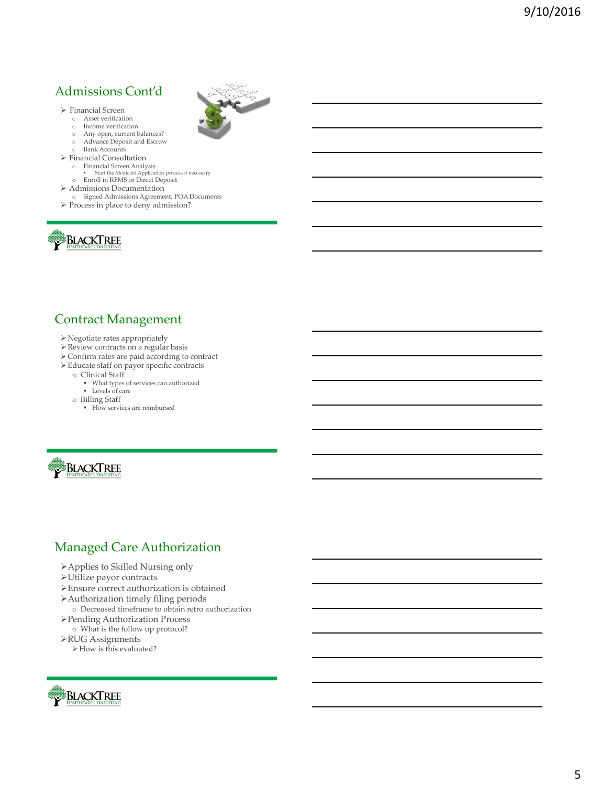# Admissions Cont'd

- Financial Screen
	- o Asset verification
- o Income verification
- o Any open, current balances?
- o Advance Deposit and Escrow o Bank Accounts
- $\triangleright$  Financial Consultation
	-
	- o Financial Screen Analysis<br>Start the Medicaid Application process if necessary<br>DENRION DIRECT Deposit
	-
- Admissions Documentation
- o Signed Admissions Agreement; POA Documents
- $\triangleright$  Process in place to deny admission?



### Contract Management

- Negotiate rates appropriately
- Review contracts on a regular basis
- $\blacktriangleright$  Confirm rates are paid according to contract
- Educate staff on payor specific contracts
	- o Clinical Staff
		- What types of services can authorized Levels of care
	-
	- o Billing Staff
		- How services are reimbursed



### Managed Care Authorization

- Applies to Skilled Nursing only
- Utilize payor contracts
- Ensure correct authorization is obtained
- Authorization timely filing periods
- o Decreased timeframe to obtain retro authorization
- Pending Authorization Process o What is the follow up protocol?
- RUG Assignments
- How is this evaluated?

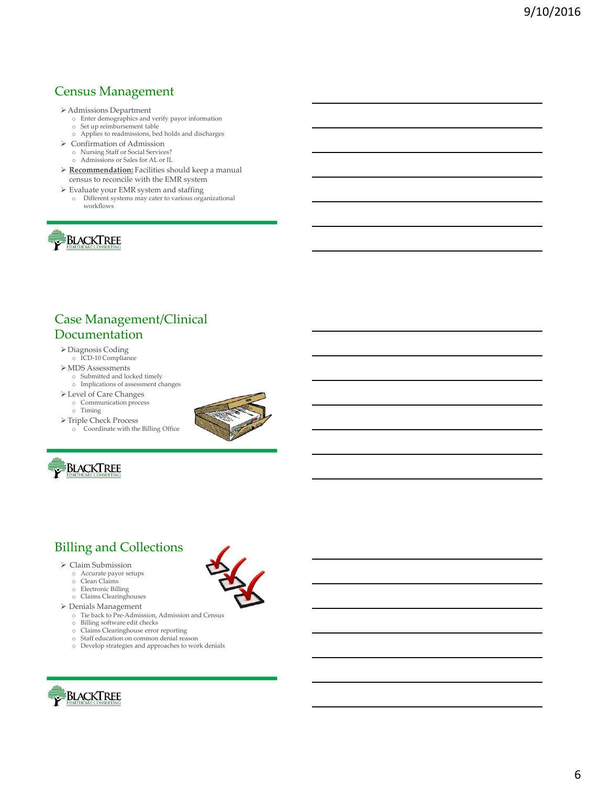# Census Management

- 
- Admissions Department o Enter demographics and verify payor information o Set up reimbursement table
	- o Applies to readmissions, bed holds and discharges
- Confirmation of Admission
	- o Nursing Staff or Social Services?
	- o Admissions or Sales for AL or IL
- **Recommendation:** Facilities should keep a manual census to reconcile with the EMR system
- Evaluate your EMR system and staffing
	- o Different systems may cater to various organizational workflows



# Case Management/Clinical Documentation

- Diagnosis Coding o ICD-10 Compliance
- $\blacktriangleright$  MDS Assessments
- o Submitted and locked timely
- o Implications of assessment changes
- Level of Care Changes o Communication process
	- o Timing
- $\blacktriangleright$  Triple Check Process o Coordinate with the Billing Office





## Billing and Collections

- Claim Submission
	- o Accurate payor setups
	- o Clean Claims
	- o Electronic Billing
	- o Claims Clearinghouses
- Denials Management
	- o Tie back to Pre-Admission, Admission and Census
	- o Billing software edit checks
	- o Claims Clearinghouse error reporting
	- o Staff education on common denial reason
	- o Develop strategies and approaches to work denials

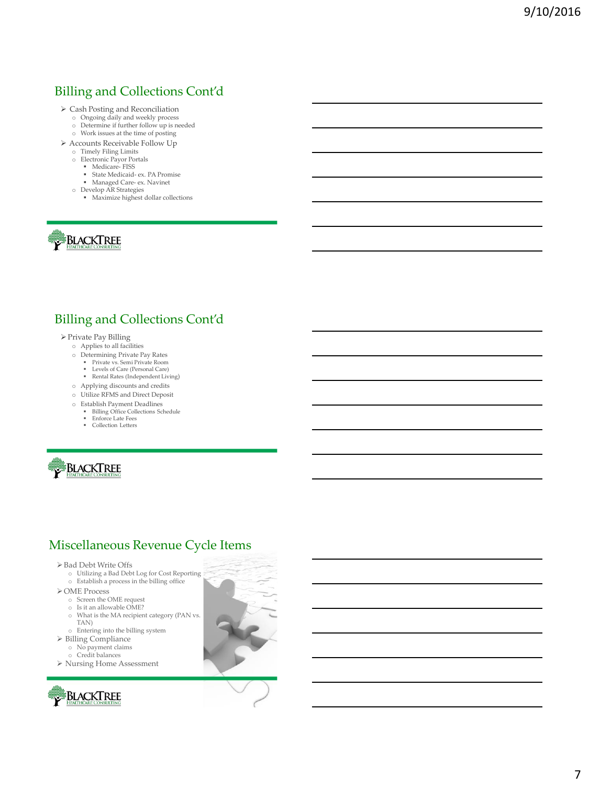# Billing and Collections Cont'd

- Cash Posting and Reconciliation o Ongoing daily and weekly process
	-
	- o Determine if further follow up is needed o Work issues at the time of posting
- $\blacktriangleright$  Accounts Receivable Follow Up
	-
	- o Timely Filing Limits o Electronic Payor Portals
		- Medicare- FISS
		- State Medicaid- ex. PA Promise
		- Managed Care- ex. Navinet
	- o Develop AR Strategies
		- Maximize highest dollar collections



## Billing and Collections Cont'd

- Private Pay Billing
	- o Applies to all facilities
	- o Determining Private Pay Rates
		- Private vs. Semi Private Room Levels of Care (Personal Care)
		- Rental Rates (Independent Living)
	- o Applying discounts and credits
	- o Utilize RFMS and Direct Deposit
	- o Establish Payment Deadlines
		- Billing Office Collections Schedule Enforce Late Fees
		-
		- **•** Collection Letters



### Miscellaneous Revenue Cycle Items

- Bad Debt Write Offs
	- o Utilizing a Bad Debt Log for Cost Reporting
	- o Establish a process in the billing office
- OME Process
	- o Screen the OME request
	- o Is it an allowable OME?
	- o What is the MA recipient category (PAN vs.
		- TAN)
	- o Entering into the billing system
- Billing Compliance
- o No payment claims
- o Credit balances
- Nursing Home Assessment

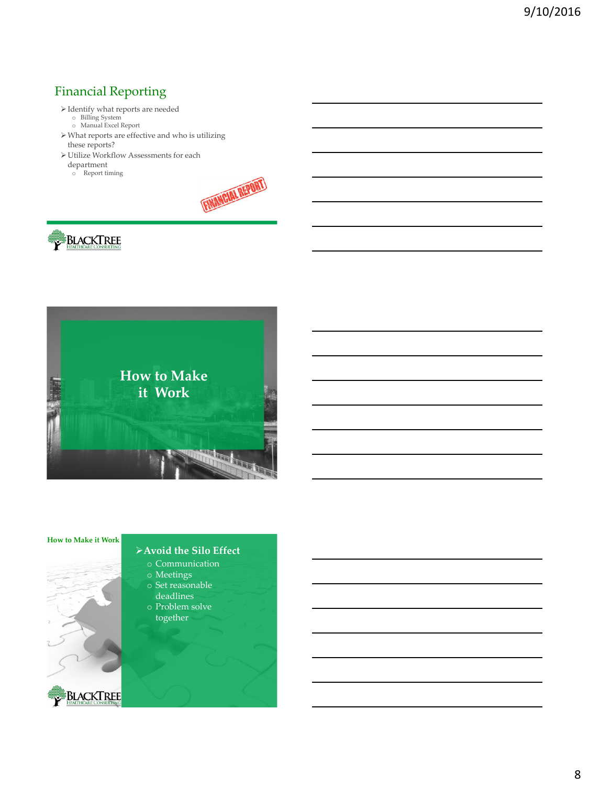# Financial Reporting

- Identify what reports are needed o Billing System o Manual Excel Report
	-
	-
- What reports are effective and who is utilizing these reports?
- $\blacktriangleright$  Utilize Workflow Assessments for each
- department
- o Report timing









### **Avoid the Silo Effect**

- o Communication
- o Meetings
- o Set reasonable
- deadlines
- o Problem solve together



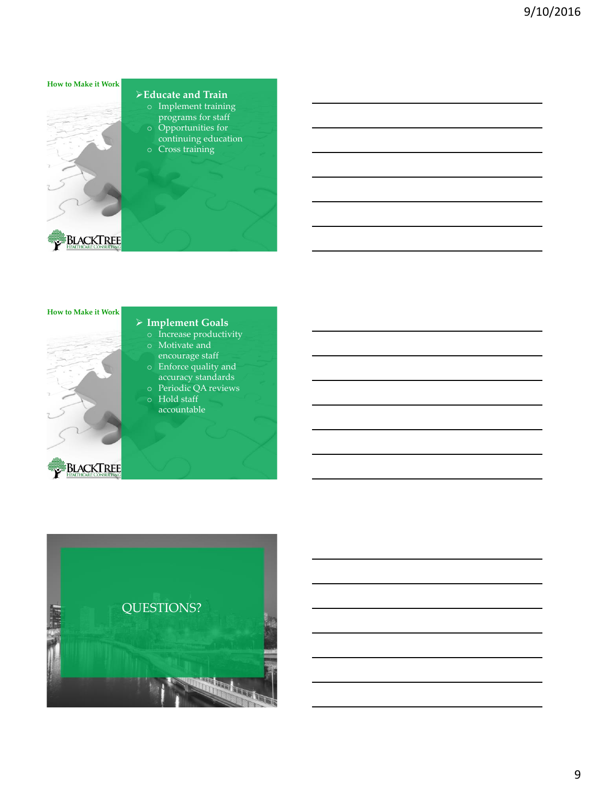

### **Educate and Train**

- o Implement training programs for staff
- o Opportunities for continuing education o Cross training
- 



BLACKTREE

### **Implement Goals**

- o Increase productivity
- o Motivate and encourage staff
- o Enforce quality and accuracy standards
- o Periodic QA reviews o Hold staff
- accountable